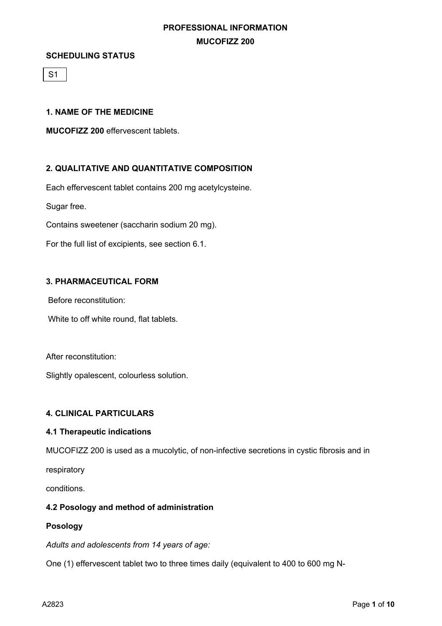#### **SCHEDULING STATUS**

S1

### **1. NAME OF THE MEDICINE**

**MUCOFIZZ 200** effervescent tablets.

# **2. QUALITATIVE AND QUANTITATIVE COMPOSITION**

Each effervescent tablet contains 200 mg acetylcysteine.

Sugar free.

Contains sweetener (saccharin sodium 20 mg).

For the full list of excipients, see section 6.1.

# **3. PHARMACEUTICAL FORM**

Before reconstitution:

White to off white round, flat tablets.

After reconstitution:

Slightly opalescent, colourless solution.

### **4. CLINICAL PARTICULARS**

### **4.1 Therapeutic indications**

MUCOFIZZ 200 is used as a mucolytic, of non-infective secretions in cystic fibrosis and in

respiratory

conditions.

### **4.2 Posology and method of administration**

### **Posology**

*Adults and adolescents from 14 years of age:*

One (1) effervescent tablet two to three times daily (equivalent to 400 to 600 mg N-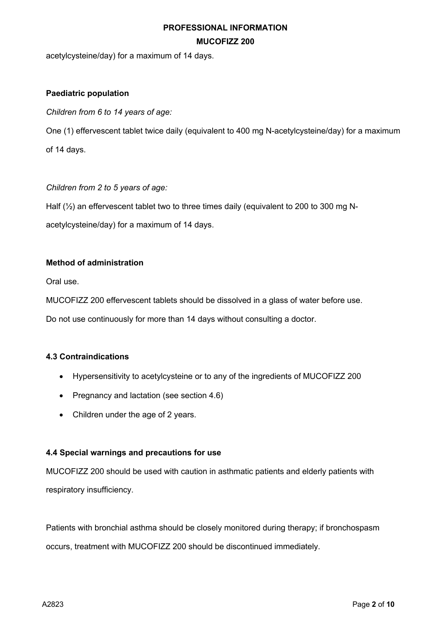acetylcysteine/day) for a maximum of 14 days.

# **Paediatric population**

*Children from 6 to 14 years of age:*

One (1) effervescent tablet twice daily (equivalent to 400 mg N-acetylcysteine/day) for a maximum of 14 days.

*Children from 2 to 5 years of age:* 

Half  $(\frac{1}{2})$  an effervescent tablet two to three times daily (equivalent to 200 to 300 mg N-

acetylcysteine/day) for a maximum of 14 days.

# **Method of administration**

Oral use.

MUCOFIZZ 200 effervescent tablets should be dissolved in a glass of water before use.

Do not use continuously for more than 14 days without consulting a doctor.

# **4.3 Contraindications**

- Hypersensitivity to acetylcysteine or to any of the ingredients of MUCOFIZZ 200
- Pregnancy and lactation (see section 4.6)
- Children under the age of 2 years.

### **4.4 Special warnings and precautions for use**

MUCOFIZZ 200 should be used with caution in asthmatic patients and elderly patients with respiratory insufficiency.

Patients with bronchial asthma should be closely monitored during therapy; if bronchospasm occurs, treatment with MUCOFIZZ 200 should be discontinued immediately.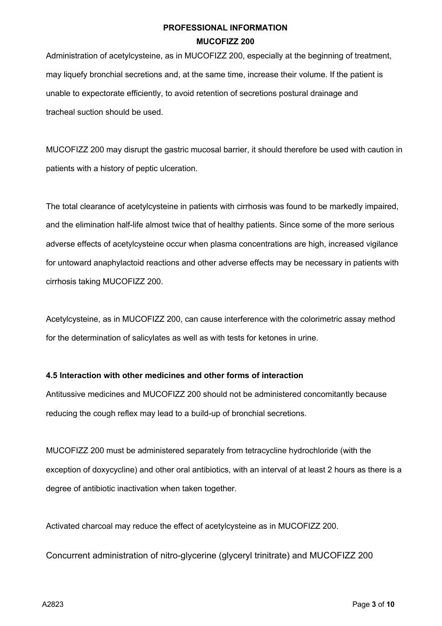Administration of acetylcysteine, as in MUCOFIZZ 200, especially at the beginning of treatment, may liquefy bronchial secretions and, at the same time, increase their volume. If the patient is unable to expectorate efficiently, to avoid retention of secretions postural drainage and tracheal suction should be used.

MUCOFIZZ 200 may disrupt the gastric mucosal barrier, it should therefore be used with caution in patients with a history of peptic ulceration.

The total clearance of acetylcysteine in patients with cirrhosis was found to be markedly impaired, and the elimination half-life almost twice that of healthy patients. Since some of the more serious adverse effects of acetylcysteine occur when plasma concentrations are high, increased vigilance for untoward anaphylactoid reactions and other adverse effects may be necessary in patients with cirrhosis taking MUCOFIZZ 200.

Acetylcysteine, as in MUCOFIZZ 200, can cause interference with the colorimetric assay method for the determination of salicylates as well as with tests for ketones in urine.

# **4.5 Interaction with other medicines and other forms of interaction**

Antitussive medicines and MUCOFIZZ 200 should not be administered concomitantly because reducing the cough reflex may lead to a build-up of bronchial secretions.

MUCOFIZZ 200 must be administered separately from tetracycline hydrochloride (with the exception of doxycycline) and other oral antibiotics, with an interval of at least 2 hours as there is a degree of antibiotic inactivation when taken together.

Activated charcoal may reduce the effect of acetylcysteine as in MUCOFIZZ 200.

Concurrent administration of nitro-glycerine (glyceryl trinitrate) and MUCOFIZZ 200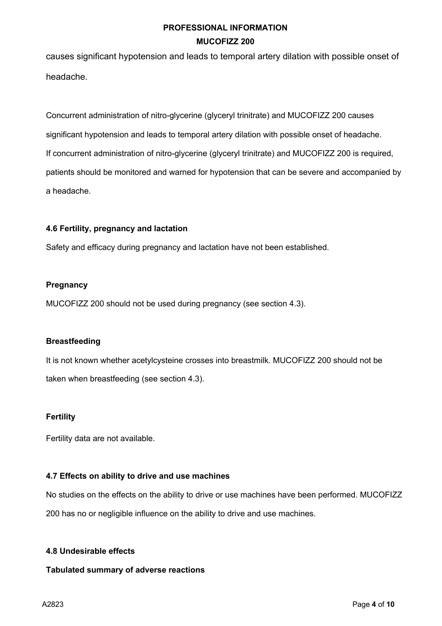causes significant hypotension and leads to temporal artery dilation with possible onset of headache.

Concurrent administration of nitro-glycerine (glyceryl trinitrate) and MUCOFIZZ 200 causes significant hypotension and leads to temporal artery dilation with possible onset of headache. If concurrent administration of nitro-glycerine (glyceryl trinitrate) and MUCOFIZZ 200 is required, patients should be monitored and warned for hypotension that can be severe and accompanied by a headache.

# **4.6 Fertility, pregnancy and lactation**

Safety and efficacy during pregnancy and lactation have not been established.

# **Pregnancy**

MUCOFIZZ 200 should not be used during pregnancy (see section 4.3).

### **Breastfeeding**

It is not known whether acetylcysteine crosses into breastmilk. MUCOFIZZ 200 should not be taken when breastfeeding (see section 4.3).

### **Fertility**

Fertility data are not available.

### **4.7 Effects on ability to drive and use machines**

No studies on the effects on the ability to drive or use machines have been performed. MUCOFIZZ 200 has no or negligible influence on the ability to drive and use machines.

### **4.8 Undesirable effects**

### **Tabulated summary of adverse reactions**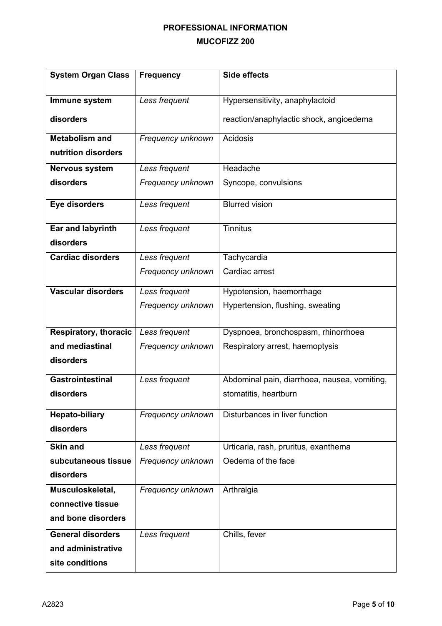| <b>System Organ Class</b>    | <b>Frequency</b>  | <b>Side effects</b>                          |
|------------------------------|-------------------|----------------------------------------------|
|                              |                   |                                              |
| Immune system                | Less frequent     | Hypersensitivity, anaphylactoid              |
| disorders                    |                   | reaction/anaphylactic shock, angioedema      |
| <b>Metabolism and</b>        | Frequency unknown | Acidosis                                     |
| nutrition disorders          |                   |                                              |
| <b>Nervous system</b>        | Less frequent     | Headache                                     |
| disorders                    | Frequency unknown | Syncope, convulsions                         |
| Eye disorders                | Less frequent     | <b>Blurred vision</b>                        |
| <b>Ear and labyrinth</b>     | Less frequent     | <b>Tinnitus</b>                              |
| disorders                    |                   |                                              |
| <b>Cardiac disorders</b>     | Less frequent     | Tachycardia                                  |
|                              | Frequency unknown | Cardiac arrest                               |
| <b>Vascular disorders</b>    | Less frequent     | Hypotension, haemorrhage                     |
|                              | Frequency unknown | Hypertension, flushing, sweating             |
|                              |                   |                                              |
| <b>Respiratory, thoracic</b> | Less frequent     | Dyspnoea, bronchospasm, rhinorrhoea          |
| and mediastinal              | Frequency unknown | Respiratory arrest, haemoptysis              |
| disorders                    |                   |                                              |
| <b>Gastrointestinal</b>      | Less frequent     | Abdominal pain, diarrhoea, nausea, vomiting, |
| disorders                    |                   | stomatitis, heartburn                        |
| <b>Hepato-biliary</b>        | Frequency unknown | Disturbances in liver function               |
| disorders                    |                   |                                              |
| <b>Skin and</b>              | Less frequent     | Urticaria, rash, pruritus, exanthema         |
| subcutaneous tissue          | Frequency unknown | Oedema of the face                           |
| disorders                    |                   |                                              |
| Musculoskeletal,             | Frequency unknown | Arthralgia                                   |
| connective tissue            |                   |                                              |
| and bone disorders           |                   |                                              |
| <b>General disorders</b>     | Less frequent     | Chills, fever                                |
| and administrative           |                   |                                              |
| site conditions              |                   |                                              |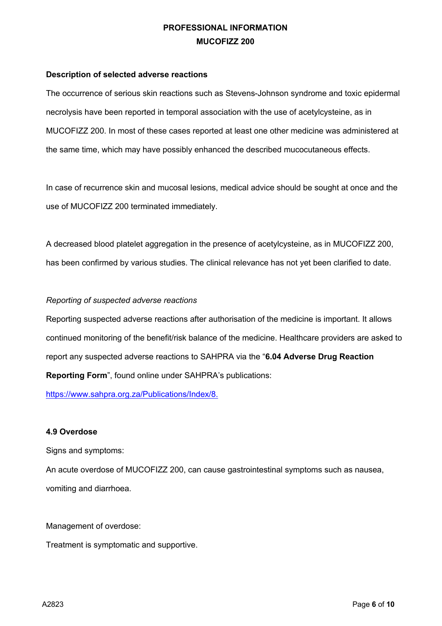#### **Description of selected adverse reactions**

The occurrence of serious skin reactions such as Stevens-Johnson syndrome and toxic epidermal necrolysis have been reported in temporal association with the use of acetylcysteine, as in MUCOFIZZ 200. In most of these cases reported at least one other medicine was administered at the same time, which may have possibly enhanced the described mucocutaneous effects.

In case of recurrence skin and mucosal lesions, medical advice should be sought at once and the use of MUCOFIZZ 200 terminated immediately.

A decreased blood platelet aggregation in the presence of acetylcysteine, as in MUCOFIZZ 200, has been confirmed by various studies. The clinical relevance has not yet been clarified to date.

# *Reporting of suspected adverse reactions*

Reporting suspected adverse reactions after authorisation of the medicine is important. It allows continued monitoring of the benefit/risk balance of the medicine. Healthcare providers are asked to report any suspected adverse reactions to SAHPRA via the "**6.04 Adverse Drug Reaction Reporting Form**", found online under SAHPRA's publications:

https://www.sahpra.org.za/Publications/Index/8.

### **4.9 Overdose**

Signs and symptoms:

An acute overdose of MUCOFIZZ 200, can cause gastrointestinal symptoms such as nausea, vomiting and diarrhoea.

Management of overdose:

Treatment is symptomatic and supportive.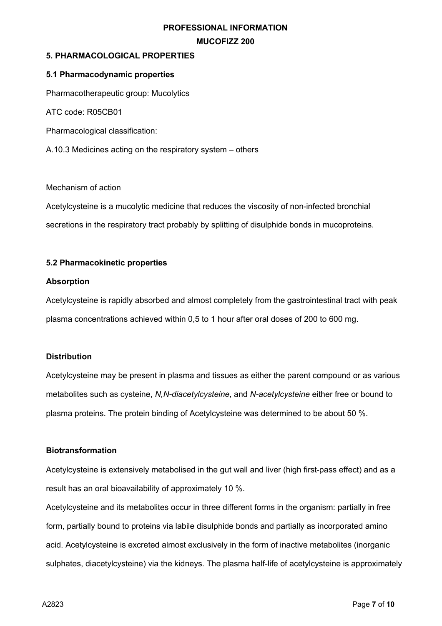# **5. PHARMACOLOGICAL PROPERTIES**

### **5.1 Pharmacodynamic properties**

Pharmacotherapeutic group: Mucolytics

ATC code: R05CB01

Pharmacological classification:

A.10.3 Medicines acting on the respiratory system – others

#### Mechanism of action

Acetylcysteine is a mucolytic medicine that reduces the viscosity of non-infected bronchial secretions in the respiratory tract probably by splitting of disulphide bonds in mucoproteins.

### **5.2 Pharmacokinetic properties**

#### **Absorption**

Acetylcysteine is rapidly absorbed and almost completely from the gastrointestinal tract with peak plasma concentrations achieved within 0,5 to 1 hour after oral doses of 200 to 600 mg.

### **Distribution**

Acetylcysteine may be present in plasma and tissues as either the parent compound or as various metabolites such as cysteine, *N,N-diacetylcysteine*, and *N-acetylcysteine* either free or bound to plasma proteins. The protein binding of Acetylcysteine was determined to be about 50 %.

### **Biotransformation**

Acetylcysteine is extensively metabolised in the gut wall and liver (high first-pass effect) and as a result has an oral bioavailability of approximately 10 %.

Acetylcysteine and its metabolites occur in three different forms in the organism: partially in free form, partially bound to proteins via labile disulphide bonds and partially as incorporated amino acid. Acetylcysteine is excreted almost exclusively in the form of inactive metabolites (inorganic sulphates, diacetylcysteine) via the kidneys. The plasma half-life of acetylcysteine is approximately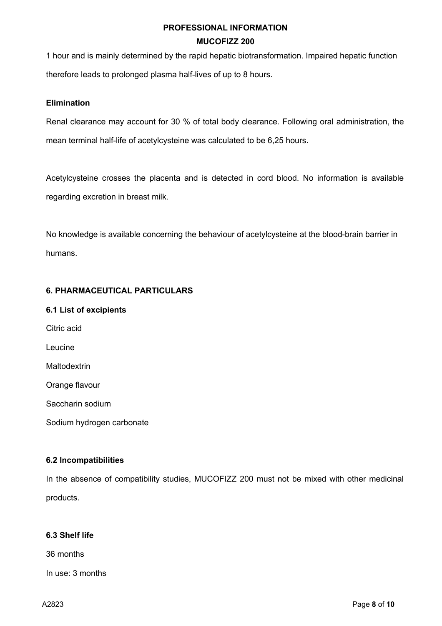1 hour and is mainly determined by the rapid hepatic biotransformation. Impaired hepatic function therefore leads to prolonged plasma half-lives of up to 8 hours.

### **Elimination**

Renal clearance may account for 30 % of total body clearance. Following oral administration, the mean terminal half-life of acetylcysteine was calculated to be 6,25 hours.

Acetylcysteine crosses the placenta and is detected in cord blood. No information is available regarding excretion in breast milk.

No knowledge is available concerning the behaviour of acetylcysteine at the blood-brain barrier in humans.

# **6. PHARMACEUTICAL PARTICULARS**

### **6.1 List of excipients**

Citric acid Leucine **Maltodextrin** Orange flavour Saccharin sodium Sodium hydrogen carbonate

# **6.2 Incompatibilities**

In the absence of compatibility studies, MUCOFIZZ 200 must not be mixed with other medicinal products.

# **6.3 Shelf life**

36 months

In use: 3 months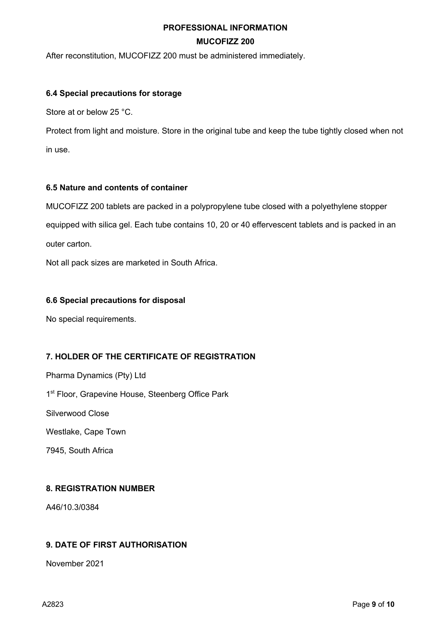After reconstitution, MUCOFIZZ 200 must be administered immediately.

### **6.4 Special precautions for storage**

Store at or below 25 °C.

Protect from light and moisture. Store in the original tube and keep the tube tightly closed when not in use.

# **6.5 Nature and contents of container**

MUCOFIZZ 200 tablets are packed in a polypropylene tube closed with a polyethylene stopper

equipped with silica gel. Each tube contains 10, 20 or 40 effervescent tablets and is packed in an outer carton.

Not all pack sizes are marketed in South Africa.

# **6.6 Special precautions for disposal**

No special requirements.

# **7. HOLDER OF THE CERTIFICATE OF REGISTRATION**

Pharma Dynamics (Pty) Ltd 1<sup>st</sup> Floor, Grapevine House, Steenberg Office Park Silverwood Close Westlake, Cape Town 7945, South Africa

# **8. REGISTRATION NUMBER**

A46/10.3/0384

# **9. DATE OF FIRST AUTHORISATION**

November 2021